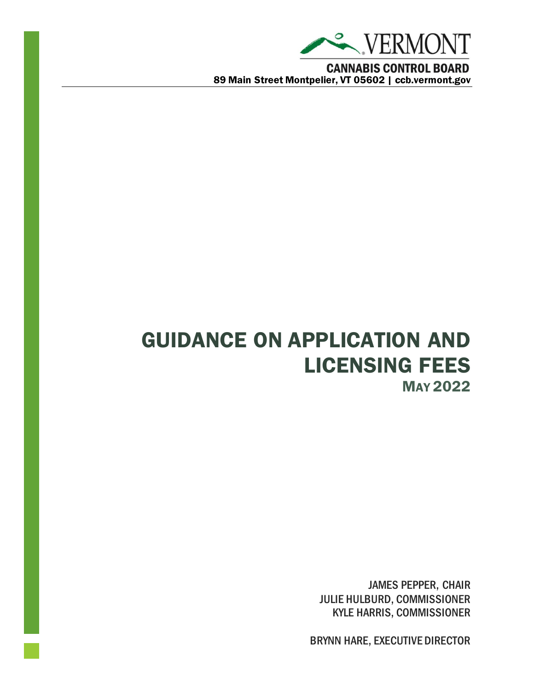

GUIDANCE ON APPLICATION AND LICENSING FEES MAY 2022

> JAMES PEPPER, CHAIR JULIE HULBURD, COMMISSIONER KYLE HARRIS, COMMISSIONER

BRYNN HARE, EXECUTIVE DIRECTOR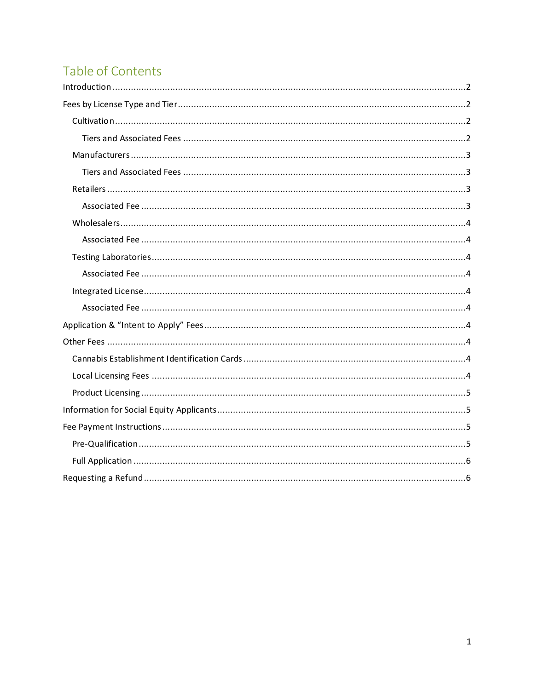# Table of Contents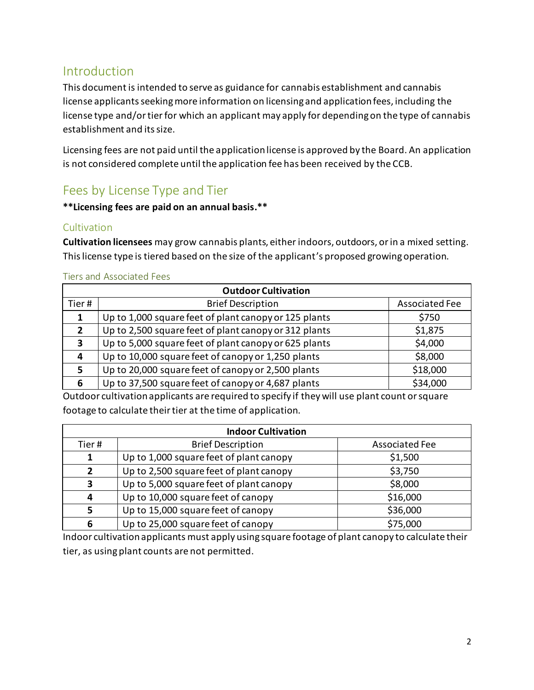# <span id="page-2-0"></span>Introduction

This document is intended to serve as guidance for cannabis establishment and cannabis license applicants seeking more information on licensing and application fees, including the license type and/or tier for which an applicant may apply for depending on the type of cannabis establishment and its size.

Licensing fees are not paid until the application license is approved by the Board. An application is not considered complete until the application fee has been received by the CCB.

# <span id="page-2-1"></span>Fees by License Type and Tier

#### **\*\*Licensing fees are paid on an annual basis.\*\***

### <span id="page-2-2"></span>Cultivation

**Cultivation licensees** may grow cannabis plants, either indoors, outdoors, or in a mixed setting. This license type is tiered based on the size of the applicant's proposed growing operation.

### <span id="page-2-3"></span>Tiers and Associated Fees

| <b>Outdoor Cultivation</b> |                                                       |                       |  |  |
|----------------------------|-------------------------------------------------------|-----------------------|--|--|
| Tier#                      | <b>Brief Description</b>                              | <b>Associated Fee</b> |  |  |
|                            | Up to 1,000 square feet of plant canopy or 125 plants | \$750                 |  |  |
| 2                          | Up to 2,500 square feet of plant canopy or 312 plants | \$1,875               |  |  |
| 3                          | Up to 5,000 square feet of plant canopy or 625 plants | \$4,000               |  |  |
| 4                          | Up to 10,000 square feet of canopy or 1,250 plants    | \$8,000               |  |  |
| 5                          | Up to 20,000 square feet of canopy or 2,500 plants    | \$18,000              |  |  |
| 6                          | Up to 37,500 square feet of canopy or 4,687 plants    | \$34,000              |  |  |

Outdoor cultivation applicants are required to specify if they will use plant count or square footage to calculate their tier at the time of application.

| <b>Indoor Cultivation</b> |                                         |                       |  |  |
|---------------------------|-----------------------------------------|-----------------------|--|--|
| Tier#                     | <b>Brief Description</b>                | <b>Associated Fee</b> |  |  |
|                           | Up to 1,000 square feet of plant canopy | \$1,500               |  |  |
| $\overline{2}$            | Up to 2,500 square feet of plant canopy | \$3,750               |  |  |
| 3                         | Up to 5,000 square feet of plant canopy | \$8,000               |  |  |
| 4                         | Up to 10,000 square feet of canopy      | \$16,000              |  |  |
| 5                         | Up to 15,000 square feet of canopy      | \$36,000              |  |  |
| 6                         | Up to 25,000 square feet of canopy      | \$75,000              |  |  |

Indoor cultivation applicants must apply using square footage of plant canopy to calculate their tier, as using plant counts are not permitted.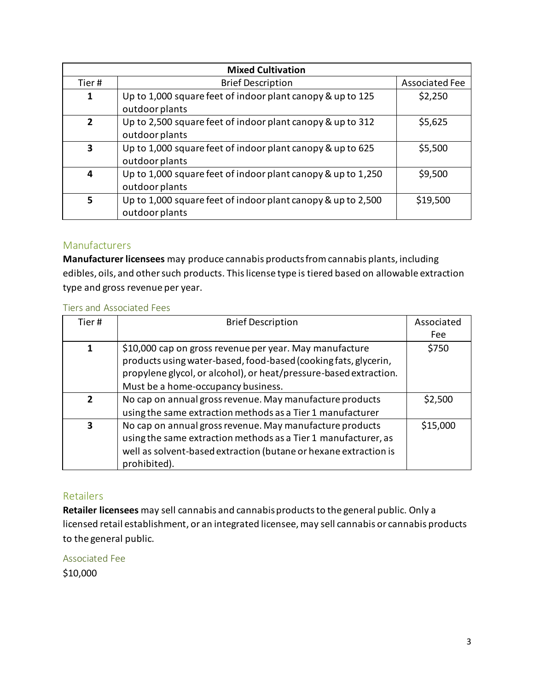| <b>Mixed Cultivation</b> |                                                                                |                       |  |  |
|--------------------------|--------------------------------------------------------------------------------|-----------------------|--|--|
| Tier#                    | <b>Brief Description</b>                                                       | <b>Associated Fee</b> |  |  |
| 1                        | Up to 1,000 square feet of indoor plant canopy & up to 125<br>outdoor plants   | \$2,250               |  |  |
| $\overline{2}$           | Up to 2,500 square feet of indoor plant canopy & up to 312<br>outdoor plants   | \$5,625               |  |  |
| 3                        | Up to 1,000 square feet of indoor plant canopy & up to 625<br>outdoor plants   | \$5,500               |  |  |
| 4                        | Up to 1,000 square feet of indoor plant canopy & up to 1,250<br>outdoor plants | \$9,500               |  |  |
| 5                        | Up to 1,000 square feet of indoor plant canopy & up to 2,500<br>outdoor plants | \$19,500              |  |  |

#### <span id="page-3-0"></span>Manufacturers

**Manufacturer licensees** may produce cannabis products from cannabis plants, including edibles, oils, and other such products. This license type is tiered based on allowable extraction type and gross revenue per year.

#### <span id="page-3-1"></span>Tiers and Associated Fees

| Tier#                    | <b>Brief Description</b>                                                                                                                                                                                                              | Associated<br>Fee |
|--------------------------|---------------------------------------------------------------------------------------------------------------------------------------------------------------------------------------------------------------------------------------|-------------------|
| 1                        | \$10,000 cap on gross revenue per year. May manufacture<br>products using water-based, food-based (cooking fats, glycerin,<br>propylene glycol, or alcohol), or heat/pressure-based extraction.<br>Must be a home-occupancy business. | \$750             |
| $\overline{\phantom{a}}$ | No cap on annual gross revenue. May manufacture products<br>using the same extraction methods as a Tier 1 manufacturer                                                                                                                | \$2,500           |
| 3                        | No cap on annual gross revenue. May manufacture products<br>using the same extraction methods as a Tier 1 manufacturer, as<br>well as solvent-based extraction (butane or hexane extraction is<br>prohibited).                        | \$15,000          |

#### <span id="page-3-2"></span>Retailers

**Retailer licensees** may sell cannabis and cannabis products to the general public. Only a licensed retail establishment, or an integrated licensee, may sell cannabis or cannabis products to the general public.

<span id="page-3-3"></span>Associated Fee \$10,000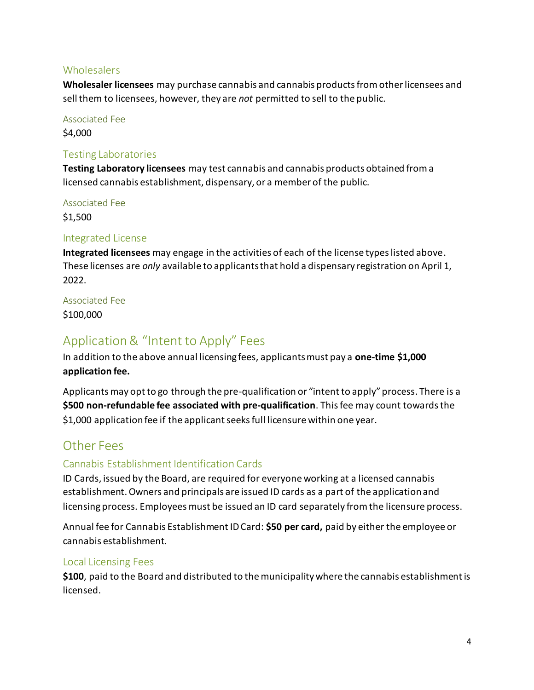### <span id="page-4-0"></span>**Wholesalers**

**Wholesaler licensees** may purchase cannabis and cannabis products from other licensees and sell them to licensees, however, they are *not* permitted to sell to the public.

<span id="page-4-1"></span>Associated Fee

\$4,000

#### <span id="page-4-2"></span>Testing Laboratories

**Testing Laboratory licensees** may test cannabis and cannabis products obtained from a licensed cannabis establishment, dispensary, or a member of the public.

<span id="page-4-3"></span>Associated Fee

\$1,500

### <span id="page-4-4"></span>Integrated License

**Integrated licensees** may engage in the activities of each of the license types listed above. These licenses are *only* available to applicants that hold a dispensary registration on April 1, 2022.

#### <span id="page-4-5"></span>Associated Fee

\$100,000

# <span id="page-4-6"></span>Application & "Intent to Apply" Fees

In addition to the above annual licensing fees, applicants must pay a **one-time \$1,000 application fee.** 

Applicants may opt to go through the pre-qualification or "intent to apply" process. There is a **\$500 non-refundable fee associated with pre-qualification**. This fee may count towards the \$1,000 application fee if the applicant seeks full licensure within one year.

# <span id="page-4-7"></span>Other Fees

### <span id="page-4-8"></span>Cannabis Establishment Identification Cards

ID Cards, issued by the Board, are required for everyone working at a licensed cannabis establishment.Owners and principals are issued ID cards as a part of the application and licensing process. Employees must be issued an ID card separately from the licensure process.

Annual fee for Cannabis Establishment ID Card: **\$50 per card,** paid by either the employee or cannabis establishment.

#### <span id="page-4-9"></span>Local Licensing Fees

**\$100**, paid to the Board and distributed to the municipality where the cannabis establishment is licensed.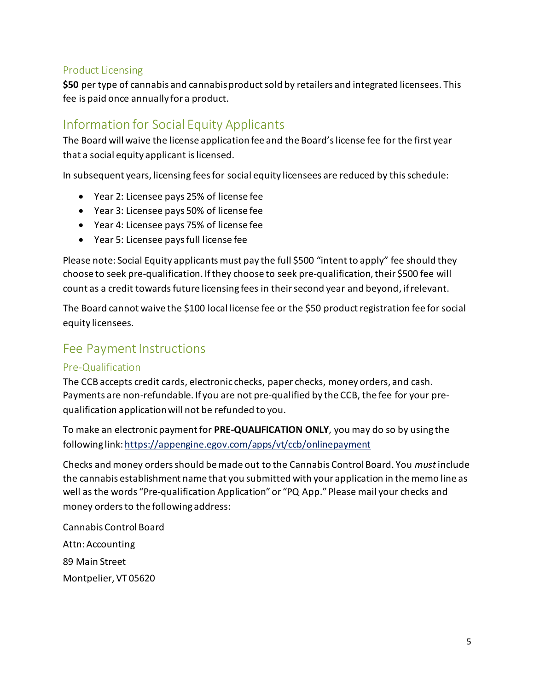### <span id="page-5-0"></span>Product Licensing

**\$50** per type of cannabis and cannabis product sold by retailers and integrated licensees. This fee is paid once annually for a product.

# <span id="page-5-1"></span>Information for Social Equity Applicants

The Board will waive the license application fee and the Board's license fee for the first year that a social equity applicant is licensed.

In subsequent years, licensing fees for social equity licensees are reduced by this schedule:

- Year 2: Licensee pays 25% of license fee
- Year 3: Licensee pays 50% of license fee
- Year 4: Licensee pays 75% of license fee
- Year 5: Licensee pays full license fee

Please note: Social Equity applicants must pay the full \$500 "intent to apply" fee should they choose to seek pre-qualification. If they choose to seek pre-qualification, their \$500 fee will count as a credit towards future licensing fees in their second year and beyond, if relevant.

The Board cannot waive the \$100 local license fee or the \$50 product registration fee for social equity licensees.

# <span id="page-5-2"></span>Fee Payment Instructions

#### <span id="page-5-3"></span>Pre-Qualification

The CCB accepts credit cards, electronic checks, paper checks, money orders, and cash. Payments are non-refundable. If you are not pre-qualified by the CCB, the fee for your prequalification application will not be refunded to you.

To make an electronic payment for **PRE-QUALIFICATION ONLY**, you may do so by using the following link[: https://appengine.egov.com/apps/vt/ccb/onlinepayment](https://appengine.egov.com/apps/vt/ccb/onlinepayment)

Checks and money orders should be made out to the Cannabis Control Board. You *must* include the cannabis establishment name that you submitted with your application in the memo line as well as the words "Pre-qualification Application" or "PQ App." Please mail your checks and money orders to the following address:

Cannabis Control Board Attn: Accounting 89 Main Street Montpelier, VT 05620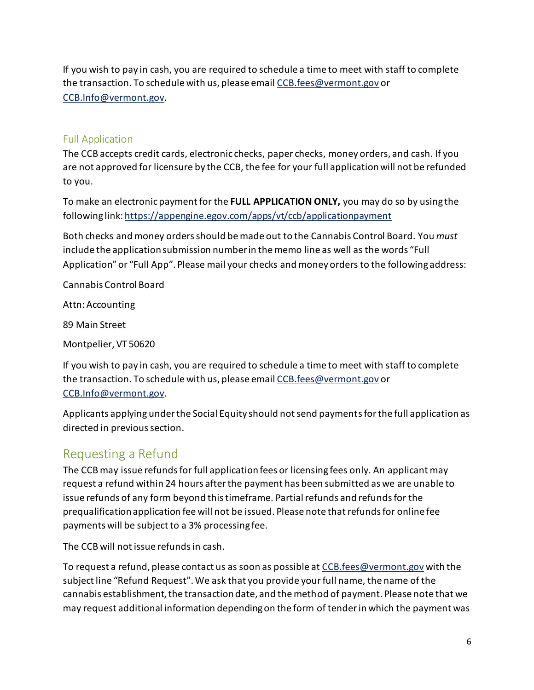If you wish to pay in cash, you are required to schedule a time to meet with staff to complete the transaction. To schedule with us, please emai[l CCB.fees@vermont.gov](mailto:CCB.fees@vermont.gov) or [CCB.Info@vermont.gov.](mailto:CCB.Info@vermont.gov)

### <span id="page-6-0"></span>Full Application

The CCB accepts credit cards, electronic checks, paper checks, money orders, and cash. If you are not approved for licensure by the CCB, the fee for your full application will not be refunded to you.

To make an electronic payment for the **FULL APPLICATION ONLY,** you may do so by using the following link[: https://appengine.egov.com/apps/vt/ccb/applicationpayment](https://appengine.egov.com/apps/vt/ccb/applicationpayment)

Both checks and money orders should be made out to the Cannabis Control Board. You *must* include the application submission number in the memo line as well as the words "Full Application" or "Full App". Please mail your checks and money orders to the following address:

Cannabis Control Board

Attn: Accounting

89 Main Street

Montpelier, VT 50620

If you wish to pay in cash, you are required to schedule a time to meet with staff to complete the transaction. To schedule with us, please emai[l CCB.fees@vermont.gov](mailto:CCB.fees@vermont.gov) or [CCB.Info@vermont.gov.](mailto:CCB.Info@vermont.gov)

Applicants applying under the Social Equity should not send payments for the full application as directed in previous section.

# <span id="page-6-1"></span>Requesting a Refund

The CCB may issue refunds for full application fees or licensing fees only. An applicant may request a refund within 24 hours after the payment has been submitted as we are unable to issue refunds of any form beyond this timeframe. Partial refunds and refunds for the prequalification application fee will not be issued. Please note that refunds for online fee payments will be subject to a 3% processing fee.

The CCB will not issue refunds in cash.

To request a refund, please contact us as soon as possible at [CCB.fees@vermont.gov](mailto:CCB.fees@vermont.gov) with the subject line "Refund Request". We ask that you provide your full name, the name of the cannabis establishment, the transaction date, and the method of payment. Please note that we may request additional information depending on the form of tender in which the payment was